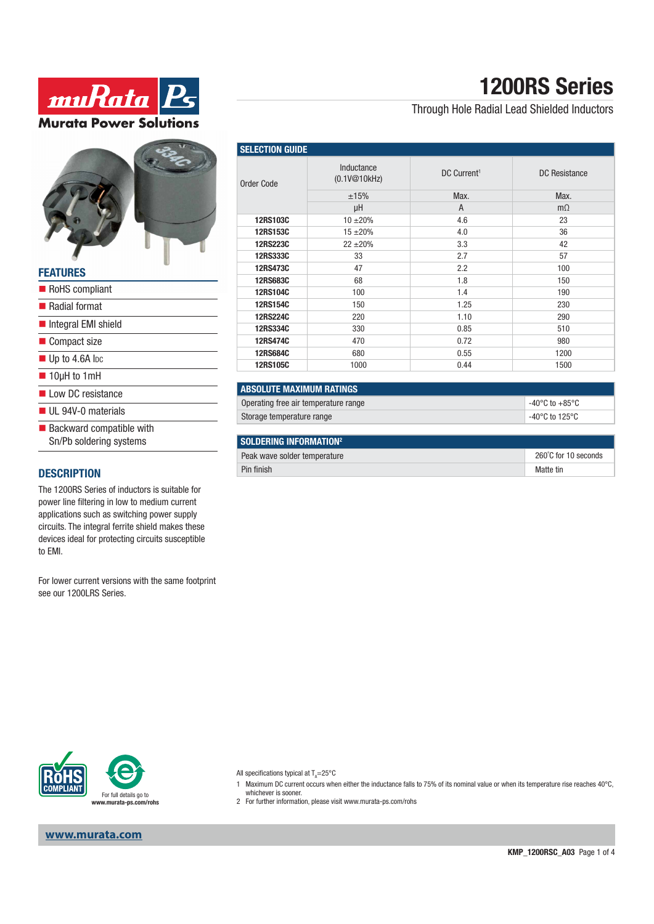# **1200RS Series**

### Through Hole Radial Lead Shielded Inductors

| <b>SELECTION GUIDE</b> |                            |                         |               |  |
|------------------------|----------------------------|-------------------------|---------------|--|
| Order Code             | Inductance<br>(0.1V@10kHz) | DC Current <sup>1</sup> | DC Resistance |  |
|                        | ±15%                       | Max.                    | Max.          |  |
|                        | μH                         | A                       | $m\Omega$     |  |
| 12RS103C               | $10 + 20%$                 | 4.6                     | 23            |  |
| 12RS153C               | $15 + 20%$                 | 4.0                     | 36            |  |
| <b>12RS223C</b>        | $22 \pm 20\%$              | 3.3                     | 42            |  |
| 12RS333C               | 33                         | 2.7                     | 57            |  |
| 12RS473C               | 47                         | 2.2                     | 100           |  |
| 12RS683C               | 68                         | 1.8                     | 150           |  |
| <b>12RS104C</b>        | 100                        | 1.4                     | 190           |  |
| 12RS154C               | 150                        | 1.25                    | 230           |  |
| <b>12RS224C</b>        | 220                        | 1.10                    | 290           |  |
| 12RS334C               | 330                        | 0.85                    | 510           |  |
| <b>12RS474C</b>        | 470                        | 0.72                    | 980           |  |
| <b>12RS684C</b>        | 680                        | 0.55                    | 1200          |  |
| 12RS105C               | 1000                       | 0.44                    | 1500          |  |

## **ABSOLUTE MAXIMUM RATINGS** Operating free air temperature range -40°C to +85°C

| Storage temperature range     | -40°C to 125°C |
|-------------------------------|----------------|
|                               |                |
| <b>COLDEDING INFORMATION?</b> |                |

| I SULUEKING INFUKWATIUN"     |                      |
|------------------------------|----------------------|
| Peak wave solder temperature | 260°C for 10 seconds |
| Pin finish                   | Matte tin            |



muRata P

**Murata Power Solutions** 

#### **FEATURES**

| FEAIURES                                                           |
|--------------------------------------------------------------------|
| RoHS compliant                                                     |
| <b>■ Radial format</b>                                             |
| Integral EMI shield                                                |
| ■ Compact size                                                     |
| $\blacksquare$ Up to 4.6A lpc                                      |
| $\blacksquare$ 10µH to 1mH                                         |
| low DC resistance                                                  |
| $\blacksquare$ UL 94V-0 materials                                  |
| $\blacksquare$ Backward compatible with<br>Sn/Pb soldering systems |
|                                                                    |

### **DESCRIPTION**

The 1200RS Series of inductors is suitable for power line filtering in low to medium current applications such as switching power supply circuits. The integral ferrite shield makes these devices ideal for protecting circuits susceptible to EMI.

For lower current versions with the same footprint see our 1200LRS Series.



All specifications typical at T<sub>A</sub>=25°C

- 1 Maximum DC current occurs when either the inductance falls to 75% of its nominal value or when its temperature rise reaches 40°C, whichever is sooner.
- 2 For further information, please visit www.murata-ps.com/rohs

**www.murata.com**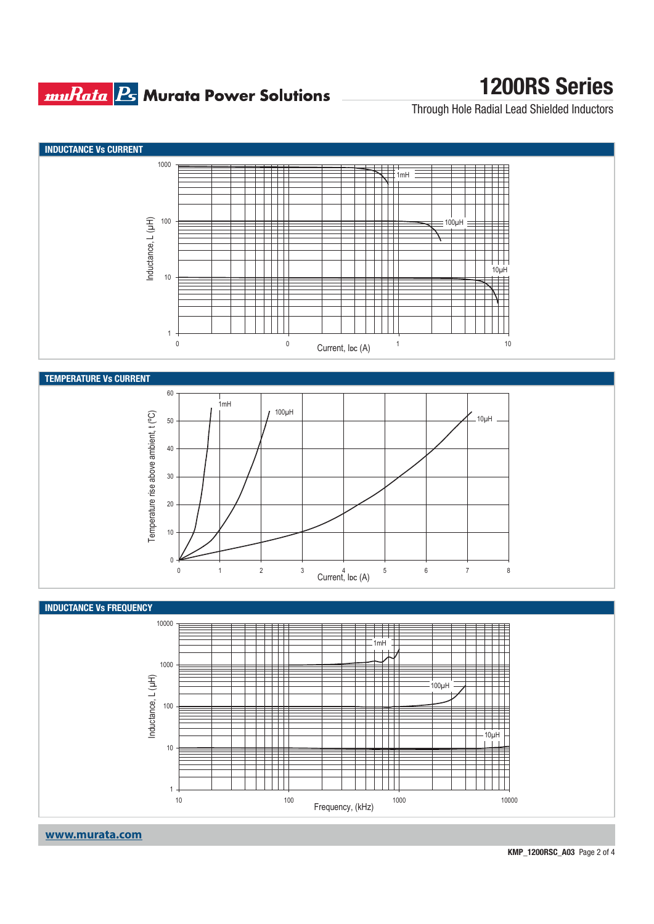## **muRata Bs** Murata Power Solutions

# **1200RS Series**

Through Hole Radial Lead Shielded Inductors



**www.murata.com**

**KMP\_1200RSC\_A03** Page 2 of 4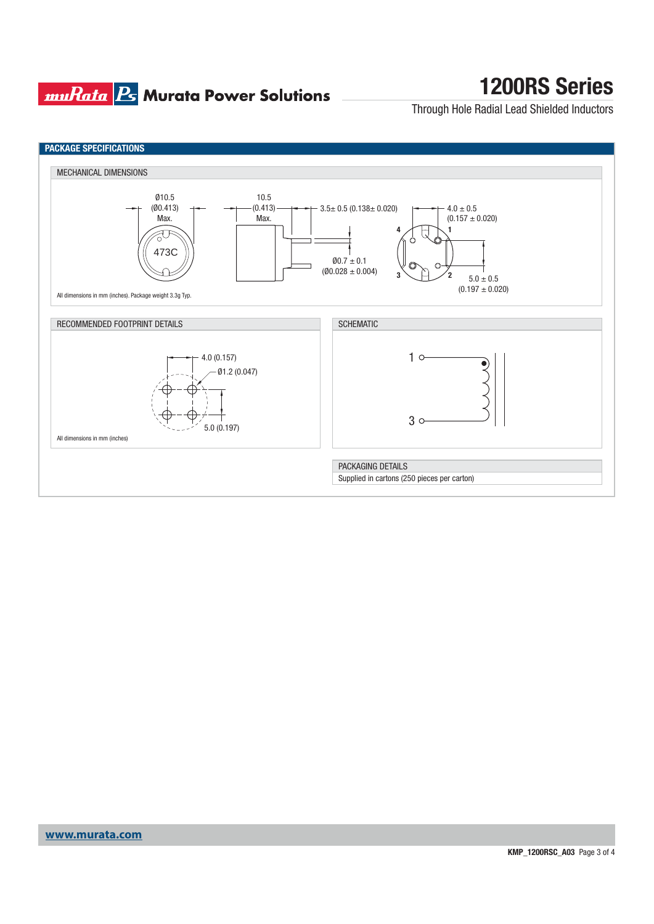## **muRata Ps** Murata Power Solutions

# **1200RS Series**

Through Hole Radial Lead Shielded Inductors